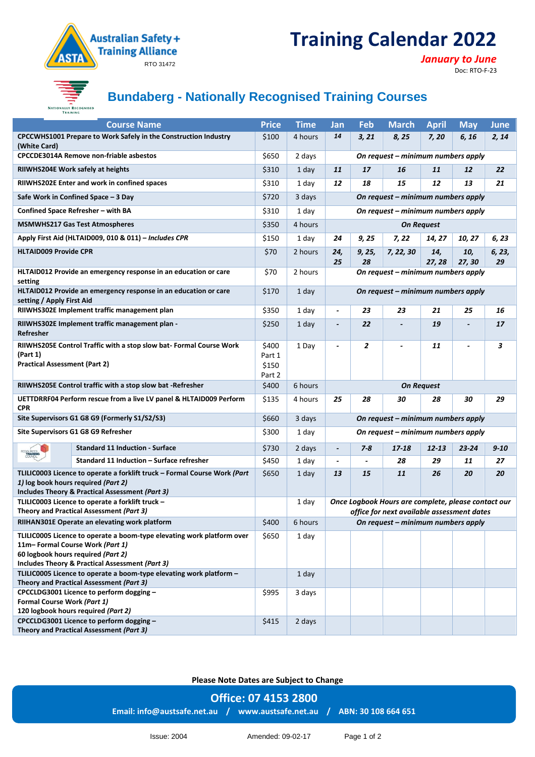# **Training Calendar 2022**



#### *January to June*

Doc: RTO-F-23



# **Bundaberg - Nationally Recognised Training Courses**

| <b>Course Name</b>                                                                                                      |                                                                                                                                                                     | <b>Price</b>             | <b>Time</b> | Jan                                | <b>Feb</b>               | <b>March</b>                                        | <b>April</b>      | <b>May</b>    | <b>June</b>  |  |  |
|-------------------------------------------------------------------------------------------------------------------------|---------------------------------------------------------------------------------------------------------------------------------------------------------------------|--------------------------|-------------|------------------------------------|--------------------------|-----------------------------------------------------|-------------------|---------------|--------------|--|--|
| CPCCWHS1001 Prepare to Work Safely in the Construction Industry<br>(White Card)                                         |                                                                                                                                                                     | \$100                    | 4 hours     | 14                                 | 3, 21                    | 8,25                                                | 7, 20             | 6, 16         | 2, 14        |  |  |
| <b>CPCCDE3014A Remove non-friable asbestos</b>                                                                          |                                                                                                                                                                     | \$650                    | 2 days      | On request - minimum numbers apply |                          |                                                     |                   |               |              |  |  |
| RIIWHS204E Work safely at heights                                                                                       |                                                                                                                                                                     | \$310                    | 1 day       | 11                                 | 17                       | 16                                                  | 11                | 12            | 22           |  |  |
|                                                                                                                         | RIIWHS202E Enter and work in confined spaces                                                                                                                        | \$310                    | 1 day       | 12                                 | 18                       | 15                                                  | 12                | 13            | 21           |  |  |
|                                                                                                                         | Safe Work in Confined Space - 3 Day                                                                                                                                 | \$720                    | 3 days      |                                    |                          | On request – minimum numbers apply                  |                   |               |              |  |  |
|                                                                                                                         | Confined Space Refresher - with BA                                                                                                                                  | \$310                    | 1 day       | On request – minimum numbers apply |                          |                                                     |                   |               |              |  |  |
| <b>MSMWHS217 Gas Test Atmospheres</b>                                                                                   |                                                                                                                                                                     | \$350                    | 4 hours     | <b>On Request</b>                  |                          |                                                     |                   |               |              |  |  |
| Apply First Aid (HLTAID009, 010 & 011) - Includes CPR                                                                   |                                                                                                                                                                     | \$150                    | 1 day       | 24                                 | 9,25                     | 7,22                                                | 14, 27            | 10, 27        | 6, 23        |  |  |
| <b>HLTAID009 Provide CPR</b>                                                                                            |                                                                                                                                                                     | \$70                     | 2 hours     | 24,<br>25                          | 9, 25,<br>28             | 7, 22, 30                                           | 14,<br>27, 28     | 10,<br>27, 30 | 6, 23,<br>29 |  |  |
| HLTAID012 Provide an emergency response in an education or care<br>setting                                              |                                                                                                                                                                     | \$70                     | 2 hours     |                                    |                          | On request – minimum numbers apply                  |                   |               |              |  |  |
| HLTAID012 Provide an emergency response in an education or care<br>setting / Apply First Aid                            |                                                                                                                                                                     | \$170                    | 1 day       | On request - minimum numbers apply |                          |                                                     |                   |               |              |  |  |
|                                                                                                                         | RIIWHS302E Implement traffic management plan                                                                                                                        | \$350                    | 1 day       | $\blacksquare$                     | 23                       | 23                                                  | 21                | 25            | 16           |  |  |
| RIIWHS302E Implement traffic management plan -<br>Refresher                                                             |                                                                                                                                                                     | \$250                    | 1 day       | $\overline{\phantom{a}}$           | 22                       |                                                     | 19                |               | 17           |  |  |
| RIIWHS205E Control Traffic with a stop slow bat- Formal Course Work<br>(Part 1)<br><b>Practical Assessment (Part 2)</b> |                                                                                                                                                                     | \$400<br>Part 1<br>\$150 | 1 Day       | $\overline{\phantom{a}}$           | 2                        |                                                     | 11                |               | 3            |  |  |
|                                                                                                                         |                                                                                                                                                                     | Part 2                   |             |                                    |                          |                                                     |                   |               |              |  |  |
|                                                                                                                         | RIIWHS205E Control traffic with a stop slow bat -Refresher                                                                                                          | \$400                    | 6 hours     |                                    |                          |                                                     | <b>On Request</b> |               |              |  |  |
| <b>CPR</b>                                                                                                              | UETTDRRF04 Perform rescue from a live LV panel & HLTAID009 Perform                                                                                                  | \$135                    | 4 hours     | 25                                 | 28                       | 30                                                  | 28                | 30            | 29           |  |  |
|                                                                                                                         | Site Supervisors G1 G8 G9 (Formerly S1/S2/S3)                                                                                                                       | \$660                    | 3 days      |                                    |                          | On request - minimum numbers apply                  |                   |               |              |  |  |
|                                                                                                                         | Site Supervisors G1 G8 G9 Refresher                                                                                                                                 | \$300                    | 1 day       |                                    |                          | On request – minimum numbers apply                  |                   |               |              |  |  |
|                                                                                                                         | <b>Standard 11 Induction - Surface</b>                                                                                                                              | \$730                    | 2 days      | $\overline{\phantom{a}}$           | $7 - 8$                  | $17 - 18$                                           | $12 - 13$         | $23 - 24$     | $9 - 10$     |  |  |
|                                                                                                                         | Standard 11 Induction - Surface refresher                                                                                                                           | \$450                    | 1 day       | $\overline{\phantom{a}}$           | $\overline{\phantom{a}}$ | 28                                                  | 29                | 11            | 27           |  |  |
|                                                                                                                         | TLILIC0003 Licence to operate a forklift truck - Formal Course Work (Part<br>1) log book hours required (Part 2)<br>Includes Theory & Practical Assessment (Part 3) | \$650                    | 1 day       | 13                                 | 15                       | 11                                                  | 26                | 20            | 20           |  |  |
|                                                                                                                         | TLILIC0003 Licence to operate a forklift truck -                                                                                                                    |                          | 1 day       |                                    |                          | Once Logbook Hours are complete, please contact our |                   |               |              |  |  |
|                                                                                                                         | Theory and Practical Assessment (Part 3)                                                                                                                            |                          |             |                                    |                          | office for next available assessment dates          |                   |               |              |  |  |
|                                                                                                                         | RIIHAN301E Operate an elevating work platform                                                                                                                       | \$400                    | 6 hours     |                                    |                          | On request - minimum numbers apply                  |                   |               |              |  |  |
|                                                                                                                         | TLILIC0005 Licence to operate a boom-type elevating work platform over<br>11m-Formal Course Work (Part 1)<br>60 logbook hours required (Part 2)                     | \$650                    | 1 day       |                                    |                          |                                                     |                   |               |              |  |  |
|                                                                                                                         | Includes Theory & Practical Assessment (Part 3)                                                                                                                     |                          |             |                                    |                          |                                                     |                   |               |              |  |  |
|                                                                                                                         | TLILIC0005 Licence to operate a boom-type elevating work platform -<br>Theory and Practical Assessment (Part 3)                                                     |                          | 1 day       |                                    |                          |                                                     |                   |               |              |  |  |
|                                                                                                                         | CPCCLDG3001 Licence to perform dogging -                                                                                                                            | \$995                    | 3 days      |                                    |                          |                                                     |                   |               |              |  |  |
| Formal Course Work (Part 1)                                                                                             | 120 logbook hours required (Part 2)                                                                                                                                 |                          |             |                                    |                          |                                                     |                   |               |              |  |  |

**Please Note Dates are Subject to Change**

**Office: 07 4153 2800 Email[: info@austsafe.net.au](mailto:info@austsafe.net.au) / [www.austsafe.net.au](http://www.austsafe.net.au/) / ABN: 30 108 664 651**

Issue: 2004 Amended: 09-02-17 Page 1 of 2